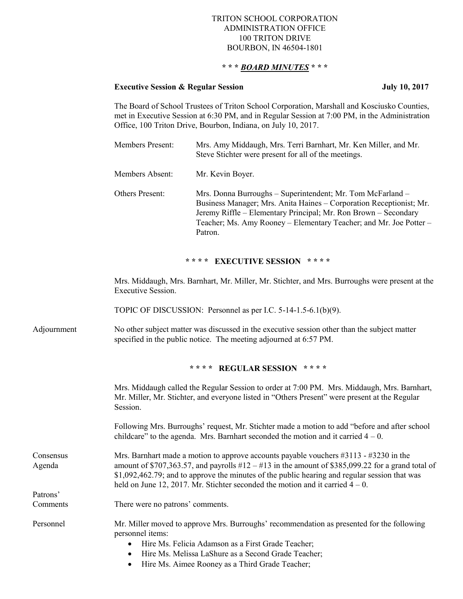#### TRITON SCHOOL CORPORATION ADMINISTRATION OFFICE 100 TRITON DRIVE BOURBON, IN 46504-1801

# **\* \* \*** *BOARD MINUTES* **\* \* \***

# **Executive Session & Regular Session July 10, 2017**

The Board of School Trustees of Triton School Corporation, Marshall and Kosciusko Counties, met in Executive Session at 6:30 PM, and in Regular Session at 7:00 PM, in the Administration Office, 100 Triton Drive, Bourbon, Indiana, on July 10, 2017.

| <b>Members Present:</b> | Mrs. Amy Middaugh, Mrs. Terri Barnhart, Mr. Ken Miller, and Mr.<br>Steve Stichter were present for all of the meetings. |
|-------------------------|-------------------------------------------------------------------------------------------------------------------------|
| Members Absent:         | Mr. Kevin Boyer.                                                                                                        |
| <b>Others Present:</b>  | Mrs. Donna Burroughs – Superintendent; Mr. Tom McFarland –<br>אוי תי תי תונות או או ה                                   |

Business Manager; Mrs. Anita Haines – Corporation Receptionist; Mr. Jeremy Riffle – Elementary Principal; Mr. Ron Brown – Secondary Teacher; Ms. Amy Rooney – Elementary Teacher; and Mr. Joe Potter – Patron.

#### **\* \* \* \* EXECUTIVE SESSION \* \* \* \***

Mrs. Middaugh, Mrs. Barnhart, Mr. Miller, Mr. Stichter, and Mrs. Burroughs were present at the Executive Session.

TOPIC OF DISCUSSION: Personnel as per I.C. 5-14-1.5-6.1(b)(9).

Adjournment No other subject matter was discussed in the executive session other than the subject matter specified in the public notice. The meeting adjourned at 6:57 PM.

### **\* \* \* \* REGULAR SESSION \* \* \* \***

Mrs. Middaugh called the Regular Session to order at 7:00 PM. Mrs. Middaugh, Mrs. Barnhart, Mr. Miller, Mr. Stichter, and everyone listed in "Others Present" were present at the Regular Session. Following Mrs. Burroughs' request, Mr. Stichter made a motion to add "before and after school childcare" to the agenda. Mrs. Barnhart seconded the motion and it carried  $4 - 0$ . Consensus Mrs. Barnhart made a motion to approve accounts payable vouchers #3113 - #3230 in the Agenda amount of  $$707,363.57$ , and payrolls  $#12 - #13$  in the amount of \$385,099.22 for a grand total of \$1,092,462.79; and to approve the minutes of the public hearing and regular session that was held on June 12, 2017. Mr. Stichter seconded the motion and it carried  $4 - 0$ . Patrons' Comments There were no patrons' comments. Personnel Mr. Miller moved to approve Mrs. Burroughs' recommendation as presented for the following personnel items: Hire Ms. Felicia Adamson as a First Grade Teacher; Hire Ms. Melissa LaShure as a Second Grade Teacher;

• Hire Ms. Aimee Rooney as a Third Grade Teacher;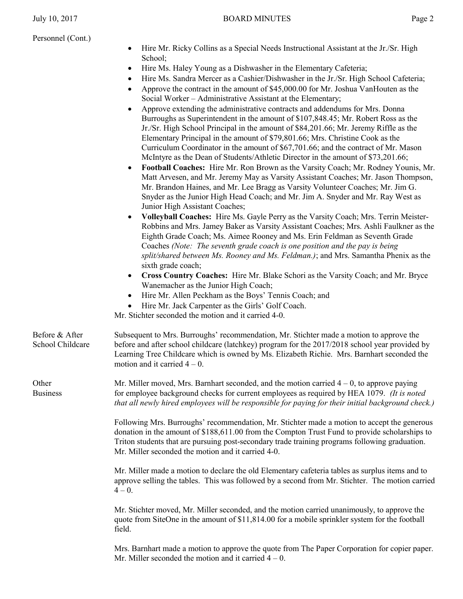| • Hire Mr. Ricky Collins as a Special Needs Instructional Assistant at the Jr./Sr. High |
|-----------------------------------------------------------------------------------------|
| School:                                                                                 |

- Hire Ms. Haley Young as a Dishwasher in the Elementary Cafeteria;
- Hire Ms. Sandra Mercer as a Cashier/Dishwasher in the Jr./Sr. High School Cafeteria;
- Approve the contract in the amount of \$45,000.00 for Mr. Joshua VanHouten as the Social Worker – Administrative Assistant at the Elementary;
- Approve extending the administrative contracts and addendums for Mrs. Donna Burroughs as Superintendent in the amount of \$107,848.45; Mr. Robert Ross as the Jr./Sr. High School Principal in the amount of \$84,201.66; Mr. Jeremy Riffle as the Elementary Principal in the amount of \$79,801.66; Mrs. Christine Cook as the Curriculum Coordinator in the amount of \$67,701.66; and the contract of Mr. Mason McIntyre as the Dean of Students/Athletic Director in the amount of \$73,201.66;
- **Football Coaches:** Hire Mr. Ron Brown as the Varsity Coach; Mr. Rodney Younis, Mr. Matt Arvesen, and Mr. Jeremy May as Varsity Assistant Coaches; Mr. Jason Thompson, Mr. Brandon Haines, and Mr. Lee Bragg as Varsity Volunteer Coaches; Mr. Jim G. Snyder as the Junior High Head Coach; and Mr. Jim A. Snyder and Mr. Ray West as Junior High Assistant Coaches;
- **Volleyball Coaches:** Hire Ms. Gayle Perry as the Varsity Coach; Mrs. Terrin Meister-Robbins and Mrs. Jamey Baker as Varsity Assistant Coaches; Mrs. Ashli Faulkner as the Eighth Grade Coach; Ms. Aimee Rooney and Ms. Erin Feldman as Seventh Grade Coaches *(Note: The seventh grade coach is one position and the pay is being split/shared between Ms. Rooney and Ms. Feldman.)*; and Mrs. Samantha Phenix as the sixth grade coach;
- **Cross Country Coaches:** Hire Mr. Blake Schori as the Varsity Coach; and Mr. Bryce Wanemacher as the Junior High Coach;
- Hire Mr. Allen Peckham as the Boys' Tennis Coach; and
- Hire Mr. Jack Carpenter as the Girls' Golf Coach.

Mr. Stichter seconded the motion and it carried 4-0.

| Before & After<br>School Childcare | Subsequent to Mrs. Burroughs' recommendation, Mr. Stichter made a motion to approve the<br>before and after school childcare (latchkey) program for the 2017/2018 school year provided by<br>Learning Tree Childcare which is owned by Ms. Elizabeth Richie. Mrs. Barnhart seconded the<br>motion and it carried $4-0$ .                             |
|------------------------------------|------------------------------------------------------------------------------------------------------------------------------------------------------------------------------------------------------------------------------------------------------------------------------------------------------------------------------------------------------|
| Other<br><b>Business</b>           | Mr. Miller moved, Mrs. Barnhart seconded, and the motion carried $4-0$ , to approve paying<br>for employee background checks for current employees as required by HEA 1079. (It is noted<br>that all newly hired employees will be responsible for paying for their initial background check.)                                                       |
|                                    | Following Mrs. Burroughs' recommendation, Mr. Stichter made a motion to accept the generous<br>donation in the amount of \$188,611.00 from the Compton Trust Fund to provide scholarships to<br>Triton students that are pursuing post-secondary trade training programs following graduation.<br>Mr. Miller seconded the motion and it carried 4-0. |

Mr. Miller made a motion to declare the old Elementary cafeteria tables as surplus items and to approve selling the tables. This was followed by a second from Mr. Stichter. The motion carried  $4 - 0.$ 

Mr. Stichter moved, Mr. Miller seconded, and the motion carried unanimously, to approve the quote from SiteOne in the amount of \$11,814.00 for a mobile sprinkler system for the football field.

Mrs. Barnhart made a motion to approve the quote from The Paper Corporation for copier paper. Mr. Miller seconded the motion and it carried  $4 - 0$ .